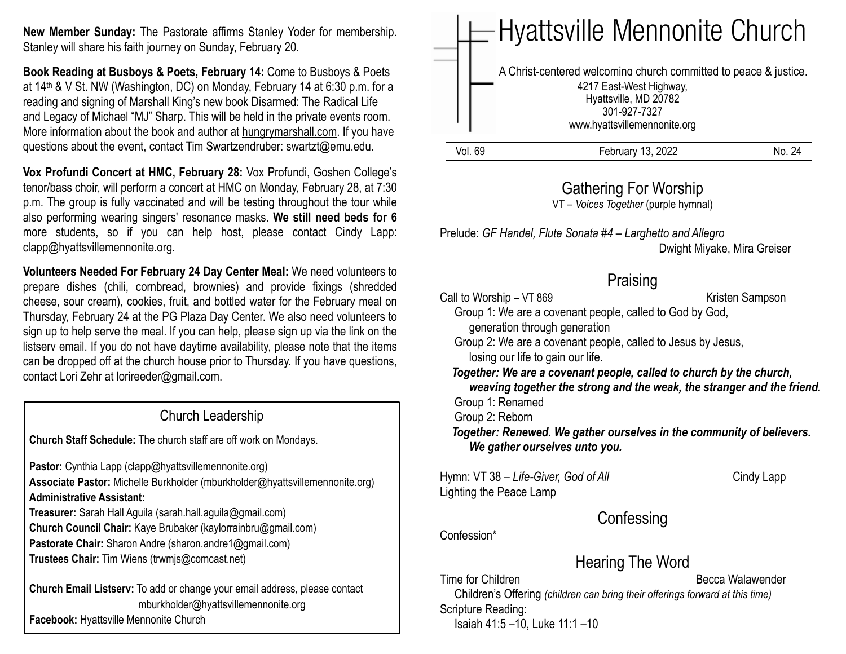**New Member Sunday:** The Pastorate affirms Stanley Yoder for membership. Stanley will share his faith journey on Sunday, February 20.

**Book Reading at Busboys & Poets, February 14:** Come to Busboys & Poets at 14th & V St. NW (Washington, DC) on Monday, February 14 at 6:30 p.m. for a reading and signing of Marshall King's new book Disarmed: The Radical Life and Legacy of Michael "MJ" Sharp. This will be held in the private events room. More information about the book and author at hungrymarshall.com. If you have questions about the event, contact Tim Swartzendruber: [swartzt@emu.edu](mailto:swartzt@emu.edu).

**Vox Profundi Concert at HMC, February 28:** Vox Profundi, Goshen College's tenor/bass choir, will perform a concert at HMC on Monday, February 28, at 7:30 p.m. The group is fully vaccinated and will be testing throughout the tour while also performing wearing singers' resonance masks. **We still need beds for 6**  more students, so if you can help host, please contact Cindy Lapp: clapp@hyattsvillemennonite.org.

**Volunteers Needed For February 24 Day Center Meal:** We need volunteers to prepare dishes (chili, cornbread, brownies) and provide fixings (shredded cheese, sour cream), cookies, fruit, and bottled water for the February meal on Thursday, February 24 at the PG Plaza Day Center. We also need volunteers to sign up to help serve the meal. If you can help, please sign up via the link on the listserv email. If you do not have daytime availability, please note that the items can be dropped off at the church house prior to Thursday. If you have questions, contact Lori Zehr at lorireeder@gmail.com.

Church Leadership **Church Staff Schedule:** The church staff are off work on Mondays. Pastor: Cynthia Lapp (clapp@hyattsvillemennonite.org) **Associate Pastor:** Michelle Burkholder (mburkholder@hyattsvillemennonite.org) **Administrative Assistant: Treasurer:** Sarah Hall Aguila (sarah.hall.aguila@gmail.com) **Church Council Chair:** Kaye Brubaker (kaylorrainbru@gmail.com) **Pastorate Chair:** Sharon Andre (sharon.andre1@gmail.com) **Trustees Chair:** Tim Wiens (trwmjs@comcast.net) **Church Email Listserv:** To add or change your email address, please contact mburkholder@hyattsvillemennonite.org

**Facebook:** Hyattsville Mennonite Church

Vol. 69 February 13, 2022 No. 24 Hyattsville Mennonite Church A Christ-centered welcoming church committed to peace & justice. 4217 East-West Highway, Hyattsville, MD 20782 301-927-7327 www.hyattsvillemennonite.org

### Gathering For Worship

VT – *Voices Together* (purple hymnal)

Prelude: *GF Handel, Flute Sonata #4 – Larghetto and Allegro* Dwight Miyake, Mira Greiser

## **Praising**

Call to Worship – VT 869 Kristen Sampson Group 1: We are a covenant people, called to God by God, generation through generation

 Group 2: We are a covenant people, called to Jesus by Jesus, losing our life to gain our life.

 *Together: We are a covenant people, called to church by the church, weaving together the strong and the weak, the stranger and the friend.* Group 1: Renamed

Group 2: Reborn

 *Together: Renewed. We gather ourselves in the community of believers. We gather ourselves unto you.*

Hymn: VT 38 – Life-Giver, God of All Cindy Lapp Lighting the Peace Lamp

**Confessing** 

Confession\*

Hearing The Word

Time for Children **Becca Walawender** Becca Walawender

 Children's Offering *(children can bring their offerings forward at this time)* Scripture Reading:

Isaiah 41:5 –10, Luke 11:1 –10